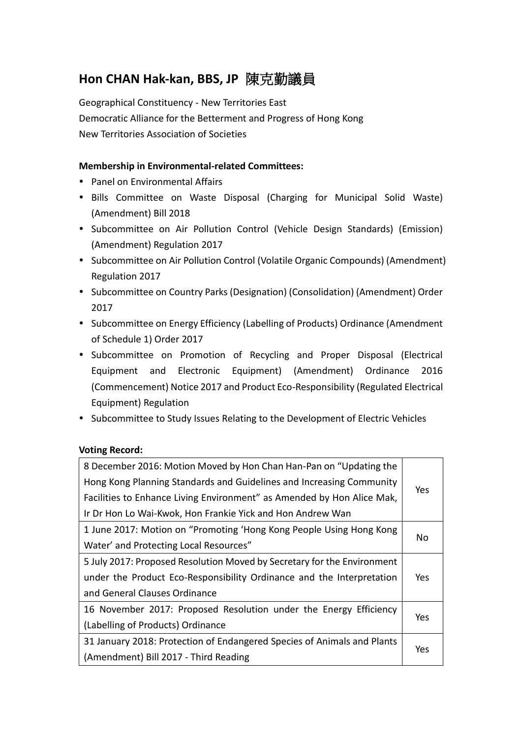# **Hon CHAN Hak-kan, BBS, JP** 陳克勤議員

Geographical Constituency - New Territories East Democratic Alliance for the Betterment and Progress of Hong Kong New Territories Association of Societies

# **Membership in Environmental-related Committees:**

- Panel on Environmental Affairs
- Bills Committee on Waste Disposal (Charging for Municipal Solid Waste) (Amendment) Bill 2018
- Subcommittee on Air Pollution Control (Vehicle Design Standards) (Emission) (Amendment) Regulation 2017
- Subcommittee on Air Pollution Control (Volatile Organic Compounds) (Amendment) Regulation 2017
- Subcommittee on Country Parks (Designation) (Consolidation) (Amendment) Order 2017
- Subcommittee on Energy Efficiency (Labelling of Products) Ordinance (Amendment of Schedule 1) Order 2017
- Subcommittee on Promotion of Recycling and Proper Disposal (Electrical Equipment and Electronic Equipment) (Amendment) Ordinance 2016 (Commencement) Notice 2017 and Product Eco-Responsibility (Regulated Electrical Equipment) Regulation
- Subcommittee to Study Issues Relating to the Development of Electric Vehicles

## **Voting Record:**

| 8 December 2016: Motion Moved by Hon Chan Han-Pan on "Updating the      |     |
|-------------------------------------------------------------------------|-----|
| Hong Kong Planning Standards and Guidelines and Increasing Community    |     |
| Facilities to Enhance Living Environment" as Amended by Hon Alice Mak,  | Yes |
| Ir Dr Hon Lo Wai-Kwok, Hon Frankie Yick and Hon Andrew Wan              |     |
| 1 June 2017: Motion on "Promoting 'Hong Kong People Using Hong Kong     |     |
| Water' and Protecting Local Resources"                                  | No  |
| 5 July 2017: Proposed Resolution Moved by Secretary for the Environment |     |
| under the Product Eco-Responsibility Ordinance and the Interpretation   |     |
| and General Clauses Ordinance                                           |     |
| 16 November 2017: Proposed Resolution under the Energy Efficiency       |     |
| (Labelling of Products) Ordinance                                       | Yes |
| 31 January 2018: Protection of Endangered Species of Animals and Plants |     |
| (Amendment) Bill 2017 - Third Reading                                   | Yes |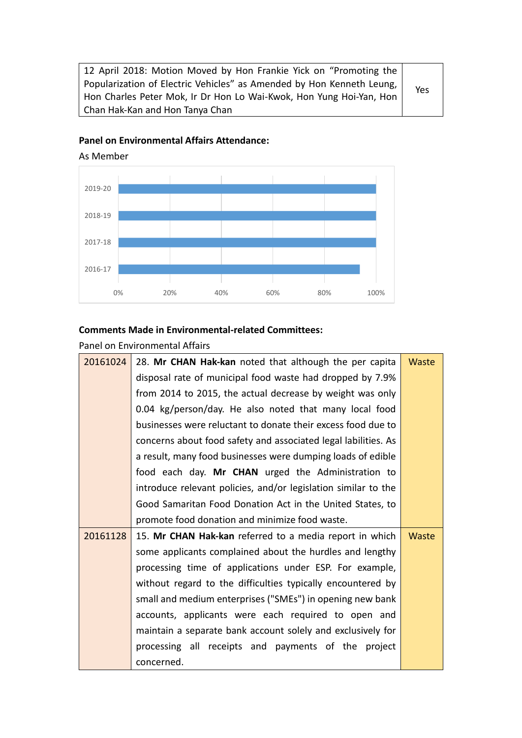12 April 2018: Motion Moved by Hon Frankie Yick on "Promoting the Popularization of Electric Vehicles" as Amended by Hon Kenneth Leung, Hon Charles Peter Mok, Ir Dr Hon Lo Wai-Kwok, Hon Yung Hoi-Yan, Hon Chan Hak-Kan and Hon Tanya Chan

### **Panel on Environmental Affairs Attendance:**



As Member

#### **Comments Made in Environmental-related Committees:**

#### Panel on Environmental Affairs

| 20161024 | 28. Mr CHAN Hak-kan noted that although the per capita         | Waste |
|----------|----------------------------------------------------------------|-------|
|          | disposal rate of municipal food waste had dropped by 7.9%      |       |
|          | from 2014 to 2015, the actual decrease by weight was only      |       |
|          | 0.04 kg/person/day. He also noted that many local food         |       |
|          | businesses were reluctant to donate their excess food due to   |       |
|          | concerns about food safety and associated legal labilities. As |       |
|          | a result, many food businesses were dumping loads of edible    |       |
|          | food each day. Mr CHAN urged the Administration to             |       |
|          | introduce relevant policies, and/or legislation similar to the |       |
|          | Good Samaritan Food Donation Act in the United States, to      |       |
|          | promote food donation and minimize food waste.                 |       |
| 20161128 | 15. Mr CHAN Hak-kan referred to a media report in which        | Waste |
|          | some applicants complained about the hurdles and lengthy       |       |
|          | processing time of applications under ESP. For example,        |       |
|          | without regard to the difficulties typically encountered by    |       |
|          | small and medium enterprises ("SMEs") in opening new bank      |       |
|          | accounts, applicants were each required to open and            |       |
|          | maintain a separate bank account solely and exclusively for    |       |
|          | processing all receipts and payments of the project            |       |
|          |                                                                |       |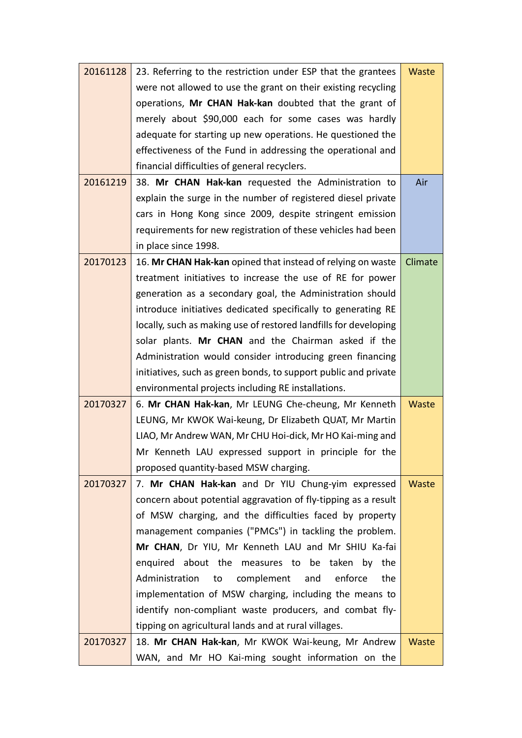| 20161128 | 23. Referring to the restriction under ESP that the grantees     | Waste   |
|----------|------------------------------------------------------------------|---------|
|          | were not allowed to use the grant on their existing recycling    |         |
|          | operations, Mr CHAN Hak-kan doubted that the grant of            |         |
|          | merely about \$90,000 each for some cases was hardly             |         |
|          | adequate for starting up new operations. He questioned the       |         |
|          | effectiveness of the Fund in addressing the operational and      |         |
|          | financial difficulties of general recyclers.                     |         |
| 20161219 | 38. Mr CHAN Hak-kan requested the Administration to              | Air     |
|          | explain the surge in the number of registered diesel private     |         |
|          | cars in Hong Kong since 2009, despite stringent emission         |         |
|          | requirements for new registration of these vehicles had been     |         |
|          | in place since 1998.                                             |         |
| 20170123 | 16. Mr CHAN Hak-kan opined that instead of relying on waste      | Climate |
|          | treatment initiatives to increase the use of RE for power        |         |
|          | generation as a secondary goal, the Administration should        |         |
|          | introduce initiatives dedicated specifically to generating RE    |         |
|          | locally, such as making use of restored landfills for developing |         |
|          | solar plants. Mr CHAN and the Chairman asked if the              |         |
|          | Administration would consider introducing green financing        |         |
|          | initiatives, such as green bonds, to support public and private  |         |
|          | environmental projects including RE installations.               |         |
| 20170327 | 6. Mr CHAN Hak-kan, Mr LEUNG Che-cheung, Mr Kenneth              | Waste   |
|          | LEUNG, Mr KWOK Wai-keung, Dr Elizabeth QUAT, Mr Martin           |         |
|          | LIAO, Mr Andrew WAN, Mr CHU Hoi-dick, Mr HO Kai-ming and         |         |
|          | Mr Kenneth LAU expressed support in principle for the            |         |
|          | proposed quantity-based MSW charging.                            |         |
| 20170327 | 7. Mr CHAN Hak-kan and Dr YIU Chung-yim expressed                | Waste   |
|          | concern about potential aggravation of fly-tipping as a result   |         |
|          | of MSW charging, and the difficulties faced by property          |         |
|          | management companies ("PMCs") in tackling the problem.           |         |
|          | Mr CHAN, Dr YIU, Mr Kenneth LAU and Mr SHIU Ka-fai               |         |
|          | enquired about the measures to be taken by the                   |         |
|          | Administration<br>complement<br>enforce<br>the<br>and<br>to      |         |
|          | implementation of MSW charging, including the means to           |         |
|          | identify non-compliant waste producers, and combat fly-          |         |
|          | tipping on agricultural lands and at rural villages.             |         |
| 20170327 | 18. Mr CHAN Hak-kan, Mr KWOK Wai-keung, Mr Andrew                | Waste   |
|          | WAN, and Mr HO Kai-ming sought information on the                |         |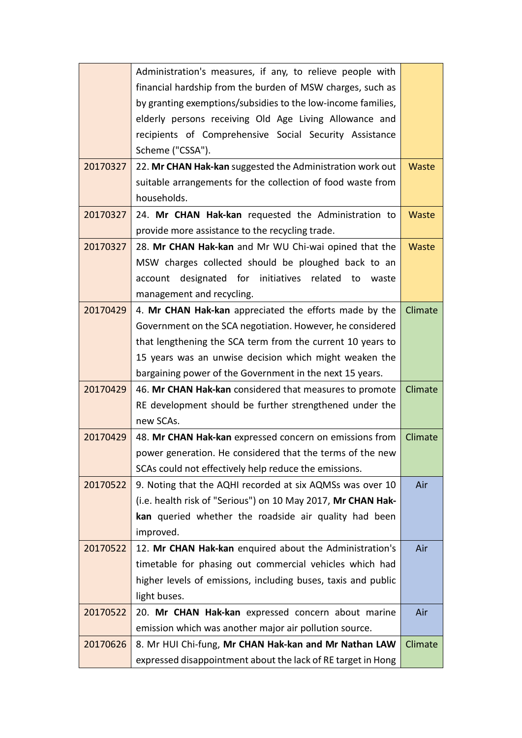|          | Administration's measures, if any, to relieve people with     |         |
|----------|---------------------------------------------------------------|---------|
|          | financial hardship from the burden of MSW charges, such as    |         |
|          | by granting exemptions/subsidies to the low-income families,  |         |
|          | elderly persons receiving Old Age Living Allowance and        |         |
|          | recipients of Comprehensive Social Security Assistance        |         |
|          | Scheme ("CSSA").                                              |         |
| 20170327 | 22. Mr CHAN Hak-kan suggested the Administration work out     | Waste   |
|          | suitable arrangements for the collection of food waste from   |         |
|          | households.                                                   |         |
| 20170327 | 24. Mr CHAN Hak-kan requested the Administration to           | Waste   |
|          | provide more assistance to the recycling trade.               |         |
| 20170327 | 28. Mr CHAN Hak-kan and Mr WU Chi-wai opined that the         | Waste   |
|          | MSW charges collected should be ploughed back to an           |         |
|          | account designated for initiatives related to<br>waste        |         |
|          | management and recycling.                                     |         |
| 20170429 | 4. Mr CHAN Hak-kan appreciated the efforts made by the        | Climate |
|          | Government on the SCA negotiation. However, he considered     |         |
|          | that lengthening the SCA term from the current 10 years to    |         |
|          | 15 years was an unwise decision which might weaken the        |         |
|          | bargaining power of the Government in the next 15 years.      |         |
| 20170429 | 46. Mr CHAN Hak-kan considered that measures to promote       | Climate |
|          | RE development should be further strengthened under the       |         |
|          | new SCAs.                                                     |         |
| 20170429 | 48. Mr CHAN Hak-kan expressed concern on emissions from       | Climate |
|          | power generation. He considered that the terms of the new     |         |
|          | SCAs could not effectively help reduce the emissions.         |         |
| 20170522 | 9. Noting that the AQHI recorded at six AQMSs was over 10     | Air     |
|          | (i.e. health risk of "Serious") on 10 May 2017, Mr CHAN Hak-  |         |
|          | kan queried whether the roadside air quality had been         |         |
|          | improved.                                                     |         |
| 20170522 | 12. Mr CHAN Hak-kan enquired about the Administration's       | Air     |
|          | timetable for phasing out commercial vehicles which had       |         |
|          | higher levels of emissions, including buses, taxis and public |         |
|          | light buses.                                                  |         |
| 20170522 | 20. Mr CHAN Hak-kan expressed concern about marine            | Air     |
|          | emission which was another major air pollution source.        |         |
| 20170626 | 8. Mr HUI Chi-fung, Mr CHAN Hak-kan and Mr Nathan LAW         | Climate |
|          | expressed disappointment about the lack of RE target in Hong  |         |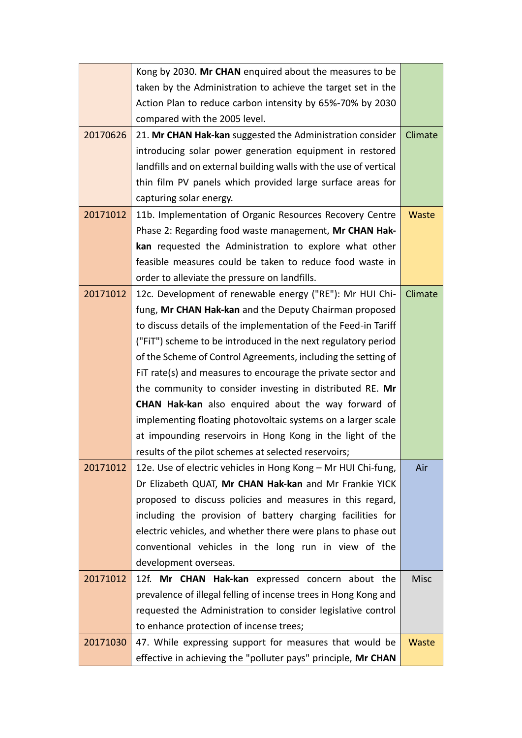|          | Kong by 2030. Mr CHAN enquired about the measures to be           |             |
|----------|-------------------------------------------------------------------|-------------|
|          | taken by the Administration to achieve the target set in the      |             |
|          | Action Plan to reduce carbon intensity by 65%-70% by 2030         |             |
|          | compared with the 2005 level.                                     |             |
| 20170626 | 21. Mr CHAN Hak-kan suggested the Administration consider         | Climate     |
|          | introducing solar power generation equipment in restored          |             |
|          | landfills and on external building walls with the use of vertical |             |
|          | thin film PV panels which provided large surface areas for        |             |
|          | capturing solar energy.                                           |             |
| 20171012 | 11b. Implementation of Organic Resources Recovery Centre          | Waste       |
|          | Phase 2: Regarding food waste management, Mr CHAN Hak-            |             |
|          | kan requested the Administration to explore what other            |             |
|          | feasible measures could be taken to reduce food waste in          |             |
|          | order to alleviate the pressure on landfills.                     |             |
| 20171012 | 12c. Development of renewable energy ("RE"): Mr HUI Chi-          | Climate     |
|          | fung, Mr CHAN Hak-kan and the Deputy Chairman proposed            |             |
|          | to discuss details of the implementation of the Feed-in Tariff    |             |
|          | ("FIT") scheme to be introduced in the next regulatory period     |             |
|          | of the Scheme of Control Agreements, including the setting of     |             |
|          | FIT rate(s) and measures to encourage the private sector and      |             |
|          | the community to consider investing in distributed RE. Mr         |             |
|          | <b>CHAN Hak-kan</b> also enquired about the way forward of        |             |
|          | implementing floating photovoltaic systems on a larger scale      |             |
|          | at impounding reservoirs in Hong Kong in the light of the         |             |
|          | results of the pilot schemes at selected reservoirs;              |             |
| 20171012 | 12e. Use of electric vehicles in Hong Kong - Mr HUI Chi-fung,     | Air         |
|          | Dr Elizabeth QUAT, Mr CHAN Hak-kan and Mr Frankie YICK            |             |
|          | proposed to discuss policies and measures in this regard,         |             |
|          | including the provision of battery charging facilities for        |             |
|          | electric vehicles, and whether there were plans to phase out      |             |
|          | conventional vehicles in the long run in view of the              |             |
|          | development overseas.                                             |             |
| 20171012 | 12f. Mr CHAN Hak-kan expressed concern about the                  | <b>Misc</b> |
|          | prevalence of illegal felling of incense trees in Hong Kong and   |             |
|          | requested the Administration to consider legislative control      |             |
|          | to enhance protection of incense trees;                           |             |
| 20171030 | 47. While expressing support for measures that would be           | Waste       |
|          | effective in achieving the "polluter pays" principle, Mr CHAN     |             |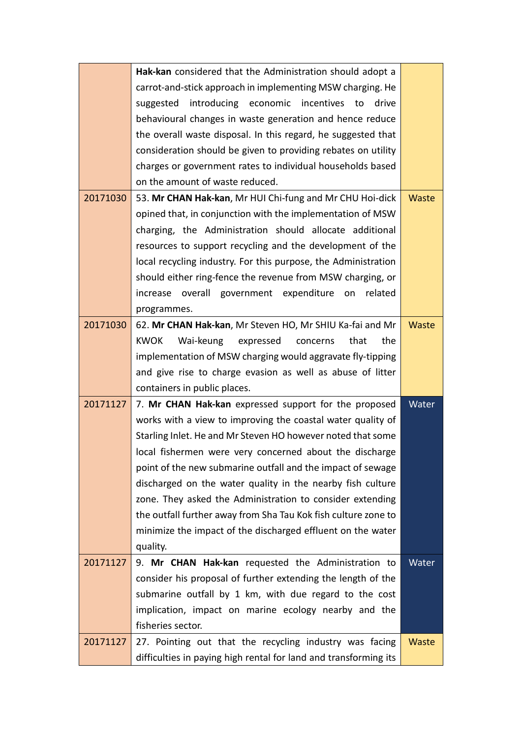|          | Hak-kan considered that the Administration should adopt a        |       |
|----------|------------------------------------------------------------------|-------|
|          | carrot-and-stick approach in implementing MSW charging. He       |       |
|          | introducing economic<br>suggested<br>incentives<br>drive<br>to   |       |
|          | behavioural changes in waste generation and hence reduce         |       |
|          | the overall waste disposal. In this regard, he suggested that    |       |
|          | consideration should be given to providing rebates on utility    |       |
|          | charges or government rates to individual households based       |       |
|          | on the amount of waste reduced.                                  |       |
| 20171030 | 53. Mr CHAN Hak-kan, Mr HUI Chi-fung and Mr CHU Hoi-dick         | Waste |
|          | opined that, in conjunction with the implementation of MSW       |       |
|          | charging, the Administration should allocate additional          |       |
|          | resources to support recycling and the development of the        |       |
|          | local recycling industry. For this purpose, the Administration   |       |
|          | should either ring-fence the revenue from MSW charging, or       |       |
|          | increase overall government expenditure<br>on<br>related         |       |
|          | programmes.                                                      |       |
| 20171030 | 62. Mr CHAN Hak-kan, Mr Steven HO, Mr SHIU Ka-fai and Mr         | Waste |
|          | <b>KWOK</b><br>Wai-keung<br>expressed<br>that<br>the<br>concerns |       |
|          | implementation of MSW charging would aggravate fly-tipping       |       |
|          | and give rise to charge evasion as well as abuse of litter       |       |
|          | containers in public places.                                     |       |
| 20171127 | 7. Mr CHAN Hak-kan expressed support for the proposed            | Water |
|          | works with a view to improving the coastal water quality of      |       |
|          | Starling Inlet. He and Mr Steven HO however noted that some      |       |
|          | local fishermen were very concerned about the discharge          |       |
|          | point of the new submarine outfall and the impact of sewage      |       |
|          | discharged on the water quality in the nearby fish culture       |       |
|          | zone. They asked the Administration to consider extending        |       |
|          | the outfall further away from Sha Tau Kok fish culture zone to   |       |
|          | minimize the impact of the discharged effluent on the water      |       |
|          | quality.                                                         |       |
| 20171127 | 9. Mr CHAN Hak-kan requested the Administration to               | Water |
|          | consider his proposal of further extending the length of the     |       |
|          | submarine outfall by 1 km, with due regard to the cost           |       |
|          |                                                                  |       |
|          | implication, impact on marine ecology nearby and the             |       |
|          | fisheries sector.                                                |       |
| 20171127 | 27. Pointing out that the recycling industry was facing          | Waste |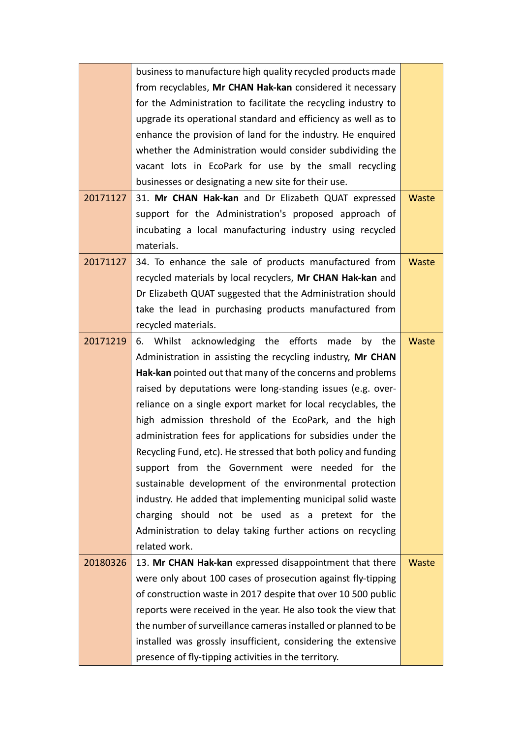|          | business to manufacture high quality recycled products made    |       |
|----------|----------------------------------------------------------------|-------|
|          | from recyclables, Mr CHAN Hak-kan considered it necessary      |       |
|          | for the Administration to facilitate the recycling industry to |       |
|          | upgrade its operational standard and efficiency as well as to  |       |
|          | enhance the provision of land for the industry. He enquired    |       |
|          | whether the Administration would consider subdividing the      |       |
|          | vacant lots in EcoPark for use by the small recycling          |       |
|          | businesses or designating a new site for their use.            |       |
| 20171127 | 31. Mr CHAN Hak-kan and Dr Elizabeth QUAT expressed            | Waste |
|          | support for the Administration's proposed approach of          |       |
|          | incubating a local manufacturing industry using recycled       |       |
|          | materials.                                                     |       |
| 20171127 | 34. To enhance the sale of products manufactured from          | Waste |
|          | recycled materials by local recyclers, Mr CHAN Hak-kan and     |       |
|          | Dr Elizabeth QUAT suggested that the Administration should     |       |
|          | take the lead in purchasing products manufactured from         |       |
|          | recycled materials.                                            |       |
| 20171219 | 6. Whilst acknowledging the efforts made<br>by the             | Waste |
|          | Administration in assisting the recycling industry, Mr CHAN    |       |
|          | Hak-kan pointed out that many of the concerns and problems     |       |
|          | raised by deputations were long-standing issues (e.g. over-    |       |
|          | reliance on a single export market for local recyclables, the  |       |
|          | high admission threshold of the EcoPark, and the high          |       |
|          | administration fees for applications for subsidies under the   |       |
|          | Recycling Fund, etc). He stressed that both policy and funding |       |
|          | support from the Government were needed for the                |       |
|          | sustainable development of the environmental protection        |       |
|          | industry. He added that implementing municipal solid waste     |       |
|          | charging should not be used as a pretext for the               |       |
|          | Administration to delay taking further actions on recycling    |       |
|          | related work.                                                  |       |
| 20180326 | 13. Mr CHAN Hak-kan expressed disappointment that there        | Waste |
|          | were only about 100 cases of prosecution against fly-tipping   |       |
|          | of construction waste in 2017 despite that over 10 500 public  |       |
|          | reports were received in the year. He also took the view that  |       |
|          | the number of surveillance cameras installed or planned to be  |       |
|          | installed was grossly insufficient, considering the extensive  |       |
|          | presence of fly-tipping activities in the territory.           |       |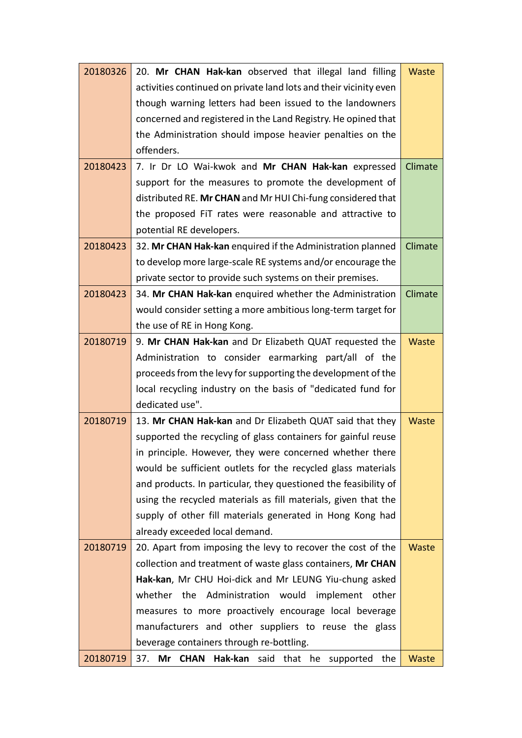| 20180326 | 20. Mr CHAN Hak-kan observed that illegal land filling            | Waste        |
|----------|-------------------------------------------------------------------|--------------|
|          | activities continued on private land lots and their vicinity even |              |
|          | though warning letters had been issued to the landowners          |              |
|          | concerned and registered in the Land Registry. He opined that     |              |
|          | the Administration should impose heavier penalties on the         |              |
|          | offenders.                                                        |              |
| 20180423 | 7. Ir Dr LO Wai-kwok and Mr CHAN Hak-kan expressed                | Climate      |
|          | support for the measures to promote the development of            |              |
|          | distributed RE. Mr CHAN and Mr HUI Chi-fung considered that       |              |
|          | the proposed FiT rates were reasonable and attractive to          |              |
|          | potential RE developers.                                          |              |
| 20180423 | 32. Mr CHAN Hak-kan enquired if the Administration planned        | Climate      |
|          | to develop more large-scale RE systems and/or encourage the       |              |
|          | private sector to provide such systems on their premises.         |              |
| 20180423 | 34. Mr CHAN Hak-kan enquired whether the Administration           | Climate      |
|          | would consider setting a more ambitious long-term target for      |              |
|          | the use of RE in Hong Kong.                                       |              |
| 20180719 | 9. Mr CHAN Hak-kan and Dr Elizabeth QUAT requested the            | Waste        |
|          | Administration to consider earmarking part/all of the             |              |
|          | proceeds from the levy for supporting the development of the      |              |
|          | local recycling industry on the basis of "dedicated fund for      |              |
|          | dedicated use".                                                   |              |
| 20180719 | 13. Mr CHAN Hak-kan and Dr Elizabeth QUAT said that they          | Waste        |
|          | supported the recycling of glass containers for gainful reuse     |              |
|          | in principle. However, they were concerned whether there          |              |
|          | would be sufficient outlets for the recycled glass materials      |              |
|          | and products. In particular, they questioned the feasibility of   |              |
|          | using the recycled materials as fill materials, given that the    |              |
|          | supply of other fill materials generated in Hong Kong had         |              |
|          | already exceeded local demand.                                    |              |
| 20180719 | 20. Apart from imposing the levy to recover the cost of the       | <b>Waste</b> |
|          | collection and treatment of waste glass containers, Mr CHAN       |              |
|          | Hak-kan, Mr CHU Hoi-dick and Mr LEUNG Yiu-chung asked             |              |
|          | the Administration would<br>whether<br>implement other            |              |
|          | measures to more proactively encourage local beverage             |              |
|          | manufacturers and other suppliers to reuse the glass              |              |
|          | beverage containers through re-bottling.                          |              |
| 20180719 | 37.<br><b>CHAN</b><br>Hak-kan said that he supported the<br>Mr    | Waste        |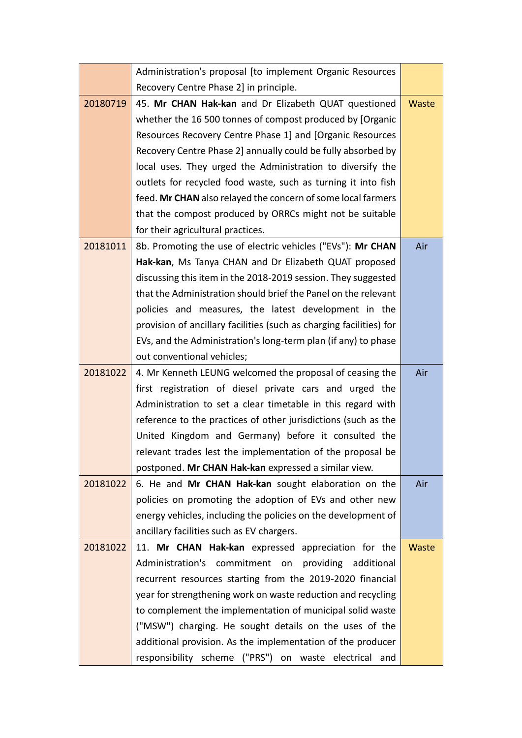|          | Administration's proposal [to implement Organic Resources           |       |
|----------|---------------------------------------------------------------------|-------|
|          | Recovery Centre Phase 2] in principle.                              |       |
| 20180719 | 45. Mr CHAN Hak-kan and Dr Elizabeth QUAT questioned                | Waste |
|          | whether the 16 500 tonnes of compost produced by [Organic           |       |
|          | Resources Recovery Centre Phase 1] and [Organic Resources           |       |
|          | Recovery Centre Phase 2] annually could be fully absorbed by        |       |
|          | local uses. They urged the Administration to diversify the          |       |
|          | outlets for recycled food waste, such as turning it into fish       |       |
|          | feed. Mr CHAN also relayed the concern of some local farmers        |       |
|          | that the compost produced by ORRCs might not be suitable            |       |
|          | for their agricultural practices.                                   |       |
| 20181011 | 8b. Promoting the use of electric vehicles ("EVs"): Mr CHAN         | Air   |
|          | Hak-kan, Ms Tanya CHAN and Dr Elizabeth QUAT proposed               |       |
|          | discussing this item in the 2018-2019 session. They suggested       |       |
|          | that the Administration should brief the Panel on the relevant      |       |
|          | policies and measures, the latest development in the                |       |
|          | provision of ancillary facilities (such as charging facilities) for |       |
|          | EVs, and the Administration's long-term plan (if any) to phase      |       |
|          | out conventional vehicles;                                          |       |
| 20181022 | 4. Mr Kenneth LEUNG welcomed the proposal of ceasing the            | Air   |
|          | first registration of diesel private cars and urged the             |       |
|          | Administration to set a clear timetable in this regard with         |       |
|          | reference to the practices of other jurisdictions (such as the      |       |
|          | United Kingdom and Germany) before it consulted the                 |       |
|          | relevant trades lest the implementation of the proposal be          |       |
|          | postponed. Mr CHAN Hak-kan expressed a similar view.                |       |
| 20181022 | 6. He and Mr CHAN Hak-kan sought elaboration on the                 | Air   |
|          | policies on promoting the adoption of EVs and other new             |       |
|          | energy vehicles, including the policies on the development of       |       |
|          | ancillary facilities such as EV chargers.                           |       |
| 20181022 | 11. Mr CHAN Hak-kan expressed appreciation for the                  | Waste |
|          | Administration's<br>commitment on<br>providing<br>additional        |       |
|          | recurrent resources starting from the 2019-2020 financial           |       |
|          | year for strengthening work on waste reduction and recycling        |       |
|          | to complement the implementation of municipal solid waste           |       |
|          | ("MSW") charging. He sought details on the uses of the              |       |
|          | additional provision. As the implementation of the producer         |       |
|          | responsibility scheme ("PRS") on waste electrical and               |       |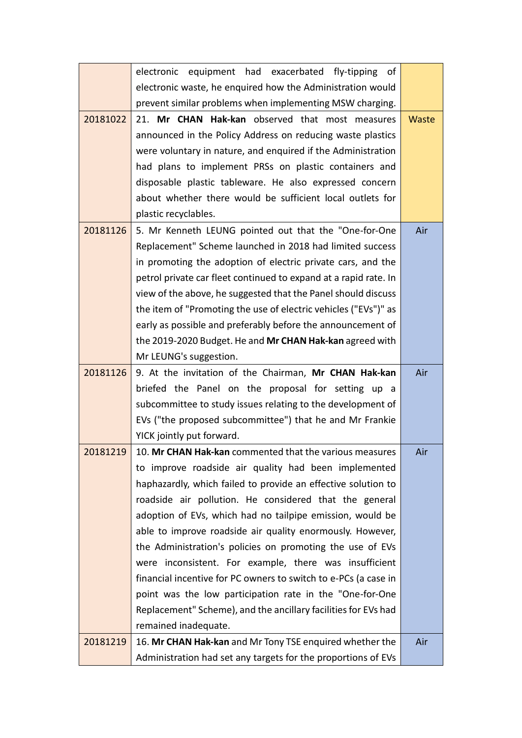|          | electronic equipment had exacerbated fly-tipping of              |       |
|----------|------------------------------------------------------------------|-------|
|          | electronic waste, he enquired how the Administration would       |       |
|          | prevent similar problems when implementing MSW charging.         |       |
| 20181022 | 21. Mr CHAN Hak-kan observed that most measures                  | Waste |
|          | announced in the Policy Address on reducing waste plastics       |       |
|          | were voluntary in nature, and enquired if the Administration     |       |
|          | had plans to implement PRSs on plastic containers and            |       |
|          | disposable plastic tableware. He also expressed concern          |       |
|          | about whether there would be sufficient local outlets for        |       |
|          | plastic recyclables.                                             |       |
| 20181126 | 5. Mr Kenneth LEUNG pointed out that the "One-for-One            | Air   |
|          | Replacement" Scheme launched in 2018 had limited success         |       |
|          | in promoting the adoption of electric private cars, and the      |       |
|          | petrol private car fleet continued to expand at a rapid rate. In |       |
|          | view of the above, he suggested that the Panel should discuss    |       |
|          | the item of "Promoting the use of electric vehicles ("EVs")" as  |       |
|          | early as possible and preferably before the announcement of      |       |
|          | the 2019-2020 Budget. He and Mr CHAN Hak-kan agreed with         |       |
|          | Mr LEUNG's suggestion.                                           |       |
| 20181126 | 9. At the invitation of the Chairman, Mr CHAN Hak-kan            | Air   |
|          | briefed the Panel on the proposal for setting up a               |       |
|          | subcommittee to study issues relating to the development of      |       |
|          | EVs ("the proposed subcommittee") that he and Mr Frankie         |       |
|          | YICK jointly put forward.                                        |       |
| 20181219 | 10. Mr CHAN Hak-kan commented that the various measures          | Air   |
|          | to improve roadside air quality had been implemented             |       |
|          | haphazardly, which failed to provide an effective solution to    |       |
|          | roadside air pollution. He considered that the general           |       |
|          | adoption of EVs, which had no tailpipe emission, would be        |       |
|          | able to improve roadside air quality enormously. However,        |       |
|          | the Administration's policies on promoting the use of EVs        |       |
|          | were inconsistent. For example, there was insufficient           |       |
|          | financial incentive for PC owners to switch to e-PCs (a case in  |       |
|          | point was the low participation rate in the "One-for-One         |       |
|          | Replacement" Scheme), and the ancillary facilities for EVs had   |       |
|          | remained inadequate.                                             |       |
| 20181219 | 16. Mr CHAN Hak-kan and Mr Tony TSE enquired whether the         | Air   |
|          | Administration had set any targets for the proportions of EVs    |       |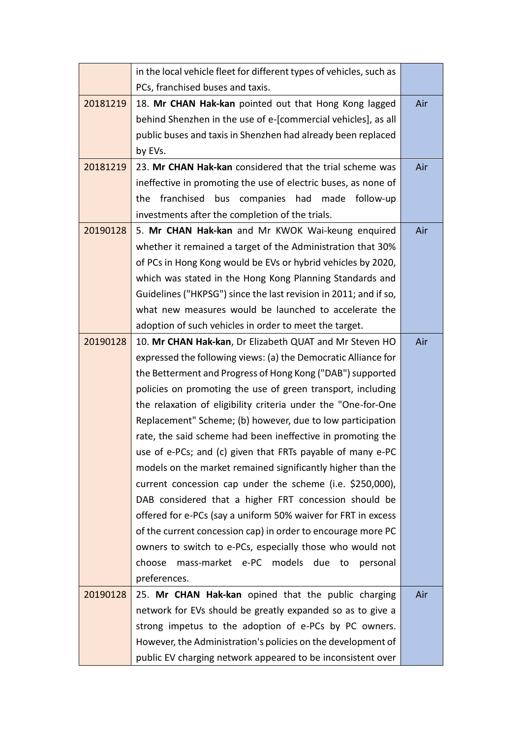|          | in the local vehicle fleet for different types of vehicles, such as |     |
|----------|---------------------------------------------------------------------|-----|
|          | PCs, franchised buses and taxis.                                    |     |
| 20181219 | 18. Mr CHAN Hak-kan pointed out that Hong Kong lagged               | Air |
|          | behind Shenzhen in the use of e-[commercial vehicles], as all       |     |
|          | public buses and taxis in Shenzhen had already been replaced        |     |
|          | by EVs.                                                             |     |
| 20181219 | 23. Mr CHAN Hak-kan considered that the trial scheme was            | Air |
|          | ineffective in promoting the use of electric buses, as none of      |     |
|          | franchised bus companies had made follow-up<br>the                  |     |
|          | investments after the completion of the trials.                     |     |
| 20190128 | 5. Mr CHAN Hak-kan and Mr KWOK Wai-keung enquired                   | Air |
|          | whether it remained a target of the Administration that 30%         |     |
|          | of PCs in Hong Kong would be EVs or hybrid vehicles by 2020,        |     |
|          | which was stated in the Hong Kong Planning Standards and            |     |
|          | Guidelines ("HKPSG") since the last revision in 2011; and if so,    |     |
|          | what new measures would be launched to accelerate the               |     |
|          | adoption of such vehicles in order to meet the target.              |     |
| 20190128 | 10. Mr CHAN Hak-kan, Dr Elizabeth QUAT and Mr Steven HO             | Air |
|          | expressed the following views: (a) the Democratic Alliance for      |     |
|          | the Betterment and Progress of Hong Kong ("DAB") supported          |     |
|          | policies on promoting the use of green transport, including         |     |
|          | the relaxation of eligibility criteria under the "One-for-One       |     |
|          | Replacement" Scheme; (b) however, due to low participation          |     |
|          | rate, the said scheme had been ineffective in promoting the         |     |
|          | use of e-PCs; and (c) given that FRTs payable of many e-PC          |     |
|          | models on the market remained significantly higher than the         |     |
|          | current concession cap under the scheme (i.e. \$250,000),           |     |
|          | DAB considered that a higher FRT concession should be               |     |
|          | offered for e-PCs (say a uniform 50% waiver for FRT in excess       |     |
|          | of the current concession cap) in order to encourage more PC        |     |
|          | owners to switch to e-PCs, especially those who would not           |     |
|          | mass-market e-PC models due to<br>choose<br>personal                |     |
|          | preferences.                                                        |     |
| 20190128 | 25. Mr CHAN Hak-kan opined that the public charging                 | Air |
|          | network for EVs should be greatly expanded so as to give a          |     |
|          | strong impetus to the adoption of e-PCs by PC owners.               |     |
|          | However, the Administration's policies on the development of        |     |
|          | public EV charging network appeared to be inconsistent over         |     |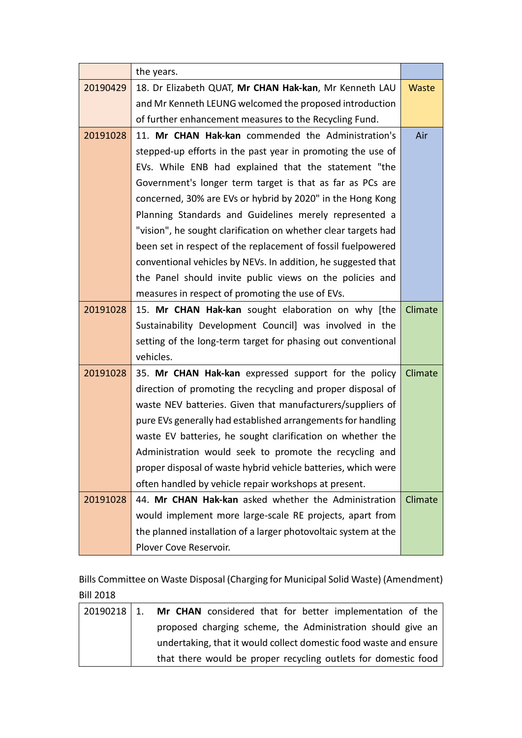|          | the years.                                                      |         |
|----------|-----------------------------------------------------------------|---------|
| 20190429 | 18. Dr Elizabeth QUAT, Mr CHAN Hak-kan, Mr Kenneth LAU          | Waste   |
|          | and Mr Kenneth LEUNG welcomed the proposed introduction         |         |
|          | of further enhancement measures to the Recycling Fund.          |         |
| 20191028 | 11. Mr CHAN Hak-kan commended the Administration's              | Air     |
|          | stepped-up efforts in the past year in promoting the use of     |         |
|          | EVs. While ENB had explained that the statement "the            |         |
|          | Government's longer term target is that as far as PCs are       |         |
|          | concerned, 30% are EVs or hybrid by 2020" in the Hong Kong      |         |
|          | Planning Standards and Guidelines merely represented a          |         |
|          | "vision", he sought clarification on whether clear targets had  |         |
|          | been set in respect of the replacement of fossil fuelpowered    |         |
|          | conventional vehicles by NEVs. In addition, he suggested that   |         |
|          | the Panel should invite public views on the policies and        |         |
|          | measures in respect of promoting the use of EVs.                |         |
| 20191028 | 15. Mr CHAN Hak-kan sought elaboration on why [the              | Climate |
|          | Sustainability Development Council] was involved in the         |         |
|          | setting of the long-term target for phasing out conventional    |         |
|          | vehicles.                                                       |         |
| 20191028 | 35. Mr CHAN Hak-kan expressed support for the policy            | Climate |
|          | direction of promoting the recycling and proper disposal of     |         |
|          | waste NEV batteries. Given that manufacturers/suppliers of      |         |
|          | pure EVs generally had established arrangements for handling    |         |
|          | waste EV batteries, he sought clarification on whether the      |         |
|          | Administration would seek to promote the recycling and          |         |
|          | proper disposal of waste hybrid vehicle batteries, which were   |         |
|          | often handled by vehicle repair workshops at present.           |         |
| 20191028 | 44. Mr CHAN Hak-kan asked whether the Administration            | Climate |
|          | would implement more large-scale RE projects, apart from        |         |
|          | the planned installation of a larger photovoltaic system at the |         |
|          | Plover Cove Reservoir.                                          |         |

Bills Committee on Waste Disposal (Charging for Municipal Solid Waste) (Amendment) Bill 2018

| 20190218 1. | Mr CHAN considered that for better implementation of the          |
|-------------|-------------------------------------------------------------------|
|             | proposed charging scheme, the Administration should give an       |
|             | undertaking, that it would collect domestic food waste and ensure |
|             | that there would be proper recycling outlets for domestic food    |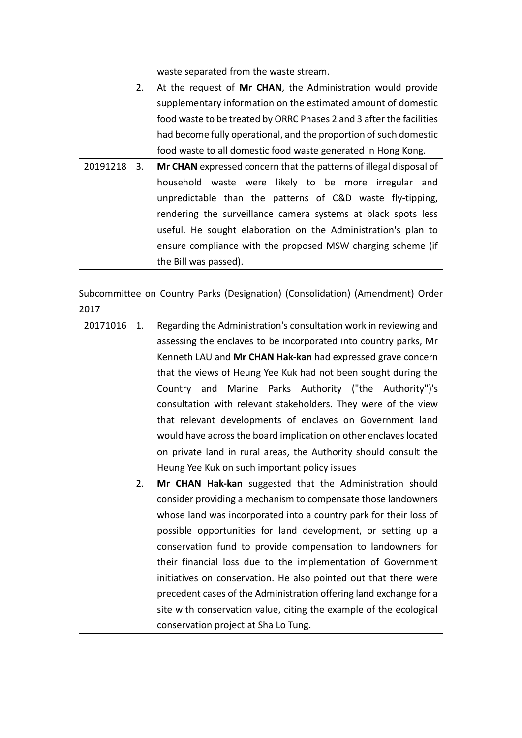|          |    | waste separated from the waste stream.                               |
|----------|----|----------------------------------------------------------------------|
|          | 2. | At the request of Mr CHAN, the Administration would provide          |
|          |    | supplementary information on the estimated amount of domestic        |
|          |    | food waste to be treated by ORRC Phases 2 and 3 after the facilities |
|          |    | had become fully operational, and the proportion of such domestic    |
|          |    | food waste to all domestic food waste generated in Hong Kong.        |
| 20191218 | 3. | Mr CHAN expressed concern that the patterns of illegal disposal of   |
|          |    | household waste were likely to be more irregular and                 |
|          |    | unpredictable than the patterns of C&D waste fly-tipping,            |
|          |    | rendering the surveillance camera systems at black spots less        |
|          |    | useful. He sought elaboration on the Administration's plan to        |
|          |    | ensure compliance with the proposed MSW charging scheme (if          |
|          |    | the Bill was passed).                                                |

Subcommittee on Country Parks (Designation) (Consolidation) (Amendment) Order 2017

| 20171016 | 1. | Regarding the Administration's consultation work in reviewing and  |
|----------|----|--------------------------------------------------------------------|
|          |    | assessing the enclaves to be incorporated into country parks, Mr   |
|          |    | Kenneth LAU and Mr CHAN Hak-kan had expressed grave concern        |
|          |    | that the views of Heung Yee Kuk had not been sought during the     |
|          |    | Country and Marine Parks Authority ("the Authority")'s             |
|          |    | consultation with relevant stakeholders. They were of the view     |
|          |    | that relevant developments of enclaves on Government land          |
|          |    | would have across the board implication on other enclaves located  |
|          |    | on private land in rural areas, the Authority should consult the   |
|          |    | Heung Yee Kuk on such important policy issues                      |
|          | 2. | Mr CHAN Hak-kan suggested that the Administration should           |
|          |    | consider providing a mechanism to compensate those landowners      |
|          |    | whose land was incorporated into a country park for their loss of  |
|          |    | possible opportunities for land development, or setting up a       |
|          |    | conservation fund to provide compensation to landowners for        |
|          |    | their financial loss due to the implementation of Government       |
|          |    | initiatives on conservation. He also pointed out that there were   |
|          |    | precedent cases of the Administration offering land exchange for a |
|          |    | site with conservation value, citing the example of the ecological |
|          |    | conservation project at Sha Lo Tung.                               |